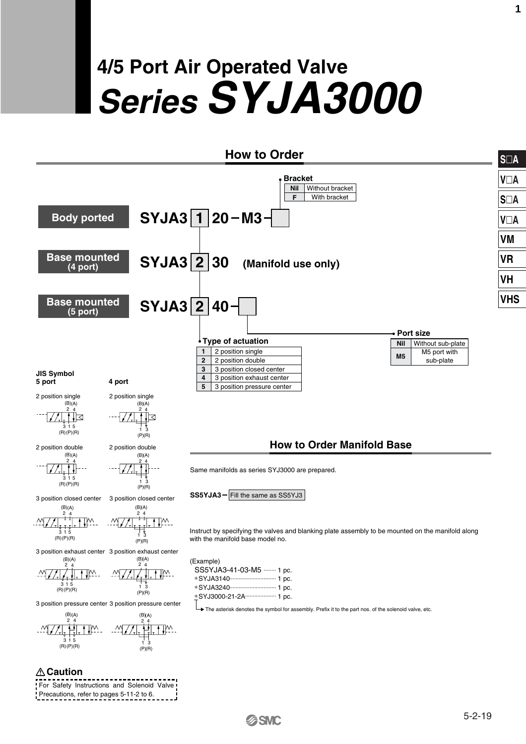# **4/5 Port Air Operated Valve Series SYJA3000**

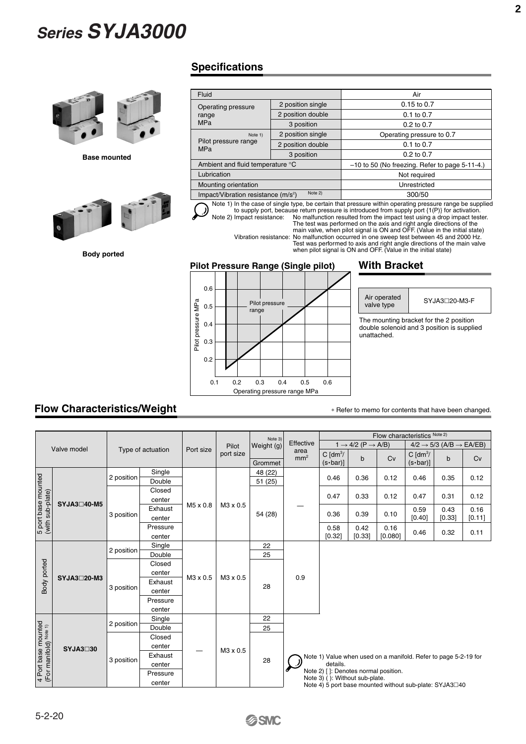

**Base mounted**



**Body ported**

#### **Specifications**

| Fluid                                |                   | Air                                                                                                      |  |  |  |  |
|--------------------------------------|-------------------|----------------------------------------------------------------------------------------------------------|--|--|--|--|
| Operating pressure                   | 2 position single | $0.15$ to $0.7$                                                                                          |  |  |  |  |
| range                                | 2 position double | $0.1$ to $0.7$                                                                                           |  |  |  |  |
| <b>MPa</b>                           | 3 position        | $0.2$ to $0.7$                                                                                           |  |  |  |  |
| Note 1)                              | 2 position single | Operating pressure to 0.7                                                                                |  |  |  |  |
| Pilot pressure range<br><b>MPa</b>   | 2 position double | $0.1$ to $0.7$                                                                                           |  |  |  |  |
|                                      | 3 position        | $0.2$ to $0.7$                                                                                           |  |  |  |  |
| Ambient and fluid temperature °C     |                   | $-10$ to 50 (No freezing. Refer to page 5-11-4.)                                                         |  |  |  |  |
| Lubrication                          |                   | Not required                                                                                             |  |  |  |  |
| Mounting orientation                 |                   | Unrestricted                                                                                             |  |  |  |  |
| Impact/Vibration resistance $(m/s2)$ | Note 2)           | 300/50                                                                                                   |  |  |  |  |
|                                      |                   | Note 1) In the case of single type, be certain that pressure within operating pressure range be supplied |  |  |  |  |

Note 1) In the case of single type, be certain that pressure within operating pressure range be supplied<br>to supply port, because return pressure is introduced from supply port  $\{1(P)\}$  for activation.<br>Note 2) Impact resist

Vibration resistance: No malfunction occurred in one sweep test between 45 and 2000 Hz. Test was performed to axis and right angle directions of the main valve when pilot signal is ON and OFF. (Value in the initial state)

#### **Pilot Pressure Range (Single pilot)**



#### **With Bracket**

Air operated valve type

SYJA3<sup>□</sup>20-M3-F

The mounting bracket for the 2 position double solenoid and 3 position is supplied unattached.

### **Flow Characteristics/Weight**

∗ Refer to memo for contents that have been changed.

|                                                          |             |                   |          |           |           | Note 3)    |                                                                                                                                                                                                                   | Flow characteristics Note 2)              |        |         |                                                 |        |        |  |
|----------------------------------------------------------|-------------|-------------------|----------|-----------|-----------|------------|-------------------------------------------------------------------------------------------------------------------------------------------------------------------------------------------------------------------|-------------------------------------------|--------|---------|-------------------------------------------------|--------|--------|--|
|                                                          | Valve model |                   |          | Port size | Pilot     | Weight (g) | Effective                                                                                                                                                                                                         | $1 \rightarrow 4/2$ (P $\rightarrow$ A/B) |        |         | $4/2 \rightarrow 5/3$ (A/B $\rightarrow$ EA/EB) |        |        |  |
|                                                          |             | Type of actuation |          |           | port size | Grommet    | area<br>mm <sup>2</sup>                                                                                                                                                                                           | C $\text{[dm}^3$ /<br>$(s \cdot bar)$ ]   | b      | Cv      | $C \text{ [dm}^3$<br>$(s \cdot bar)$ ]          | b      | Cv     |  |
|                                                          |             | 2 position        | Single   |           | M3 x 0.5  | 48 (22)    |                                                                                                                                                                                                                   |                                           |        |         |                                                 |        |        |  |
|                                                          |             |                   | Double   |           |           | 51(25)     |                                                                                                                                                                                                                   | 0.46                                      | 0.36   | 0.12    | 0.46                                            | 0.35   | 0.12   |  |
|                                                          |             |                   | Closed   |           |           |            |                                                                                                                                                                                                                   |                                           |        |         |                                                 |        |        |  |
| 5 port base mounted<br>(with sub-plate)                  | SYJA3□40-M5 |                   | center   |           |           |            |                                                                                                                                                                                                                   | 0.47                                      | 0.33   | 0.12    | 0.47                                            | 0.31   | 0.12   |  |
|                                                          |             |                   | Exhaust  | M5 x 0.8  |           |            |                                                                                                                                                                                                                   |                                           |        |         | 0.59                                            | 0.43   | 0.16   |  |
|                                                          |             | 3 position        | center   |           |           | 54 (28)    |                                                                                                                                                                                                                   | 0.36                                      | 0.39   | 0.10    | [0.40]                                          | [0.33] | [0.11] |  |
|                                                          |             |                   | Pressure |           |           |            |                                                                                                                                                                                                                   | 0.58                                      | 0.42   | 0.16    |                                                 |        |        |  |
|                                                          |             |                   | center   |           |           |            |                                                                                                                                                                                                                   | [0.32]                                    | [0.33] | [0.080] | 0.46                                            | 0.32   | 0.11   |  |
|                                                          | SYJA3□20-M3 | 2 position        | Single   | M3 x 0.5  | M3 x 0.5  | 22         |                                                                                                                                                                                                                   |                                           |        |         |                                                 |        |        |  |
|                                                          |             |                   | Double   |           |           | 25         |                                                                                                                                                                                                                   |                                           |        |         |                                                 |        |        |  |
|                                                          |             | 3 position        | Closed   |           |           | 28         |                                                                                                                                                                                                                   |                                           |        |         |                                                 |        |        |  |
| Body ported                                              |             |                   | center   |           |           |            | 0.9                                                                                                                                                                                                               |                                           |        |         |                                                 |        |        |  |
|                                                          |             |                   | Exhaust  |           |           |            |                                                                                                                                                                                                                   |                                           |        |         |                                                 |        |        |  |
|                                                          |             |                   | center   |           |           |            |                                                                                                                                                                                                                   |                                           |        |         |                                                 |        |        |  |
|                                                          |             |                   | Pressure |           |           |            |                                                                                                                                                                                                                   |                                           |        |         |                                                 |        |        |  |
|                                                          |             |                   | center   |           |           |            |                                                                                                                                                                                                                   |                                           |        |         |                                                 |        |        |  |
|                                                          |             | 2 position        | Single   |           |           | 22         |                                                                                                                                                                                                                   |                                           |        |         |                                                 |        |        |  |
|                                                          |             |                   | Double   |           |           | 25         |                                                                                                                                                                                                                   |                                           |        |         |                                                 |        |        |  |
|                                                          |             |                   | Closed   |           |           |            | Note 1) Value when used on a manifold. Refer to page 5-2-19 for<br>details.<br>Note 2) [ ]: Denotes normal position.<br>Note 3) (): Without sub-plate.<br>Note 4) 5 port base mounted without sub-plate: SYJA3□40 |                                           |        |         |                                                 |        |        |  |
|                                                          | SYJA3□30    |                   | center   |           | M3 x 0.5  |            |                                                                                                                                                                                                                   |                                           |        |         |                                                 |        |        |  |
| 4 Port base mounted<br>(For manifold) <sup>Note 1)</sup> |             | 3 position        | Exhaust  |           |           |            |                                                                                                                                                                                                                   |                                           |        |         |                                                 |        |        |  |
|                                                          |             |                   | center   |           |           | 28         |                                                                                                                                                                                                                   |                                           |        |         |                                                 |        |        |  |
|                                                          |             |                   | Pressure |           |           |            |                                                                                                                                                                                                                   |                                           |        |         |                                                 |        |        |  |
|                                                          |             |                   | center   |           |           |            |                                                                                                                                                                                                                   |                                           |        |         |                                                 |        |        |  |

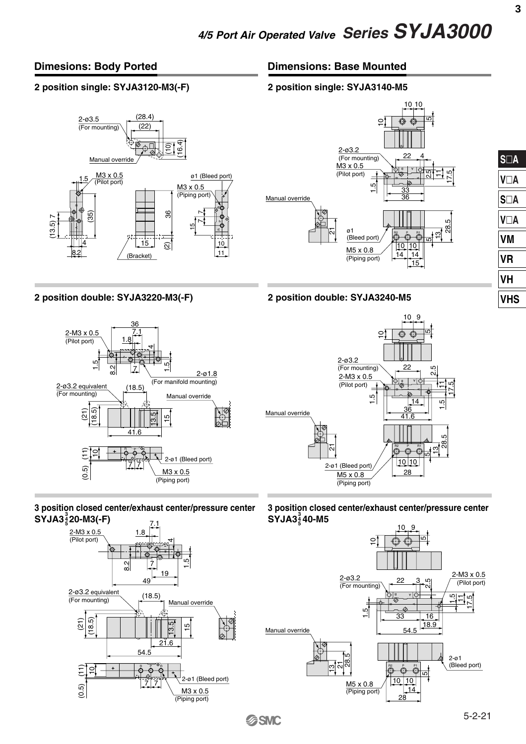#### **Dimesions: Body Ported**

#### **2 position single: SYJA3120-M3(-F)**







**2 position double: SYJA3220-M3(-F) 2 position double: SYJA3240-M5**



### **3 position closed center/exhaust center/pressure center SYJA3 20-M3(-F) 3 4 5**





10

10

ഥ

 $\circ$ 



**3**





**3 position closed center/exhaust center/pressure center SYJA3 40-M5 3 4 5**

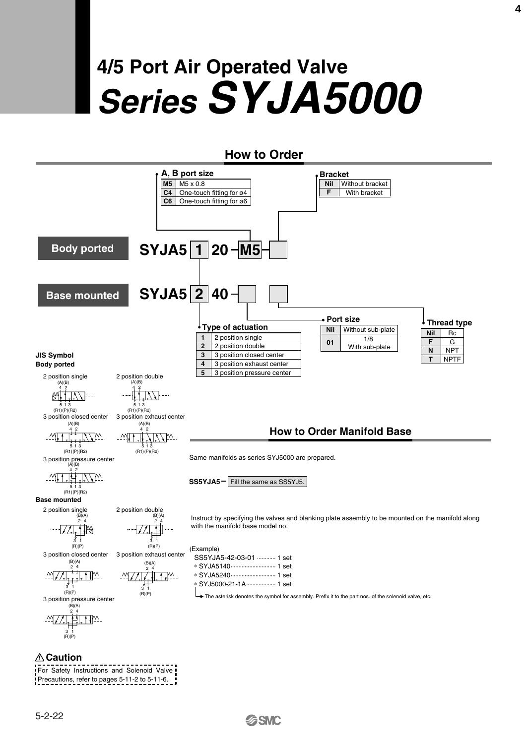# **4/5 Port Air Operated Valve Series SYJA5000**

### **How to Order**



For Safety Instructions and Solenoid Valve Precautions, refer to pages 5-11-2 to 5-11-6.

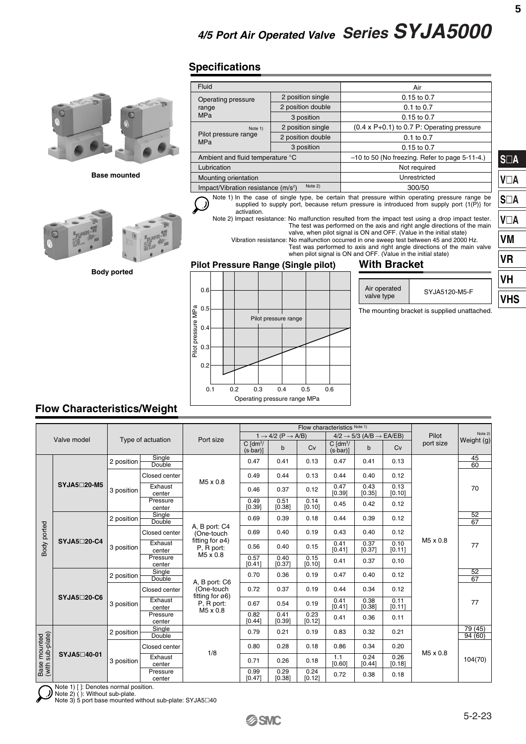## **Specifications**



**Base mounted**



**Body ported**

| Fluid                                                                                                                                                                                                                                                                                                                                                                                                                                                                                                                                                                                                                                                                                                               |                   | Air                                                 |  |  |  |  |  |  |
|---------------------------------------------------------------------------------------------------------------------------------------------------------------------------------------------------------------------------------------------------------------------------------------------------------------------------------------------------------------------------------------------------------------------------------------------------------------------------------------------------------------------------------------------------------------------------------------------------------------------------------------------------------------------------------------------------------------------|-------------------|-----------------------------------------------------|--|--|--|--|--|--|
| Operating pressure                                                                                                                                                                                                                                                                                                                                                                                                                                                                                                                                                                                                                                                                                                  | 2 position single | $0.15$ to $0.7$                                     |  |  |  |  |  |  |
| range                                                                                                                                                                                                                                                                                                                                                                                                                                                                                                                                                                                                                                                                                                               | 2 position double | $0.1$ to $0.7$                                      |  |  |  |  |  |  |
| <b>MPa</b>                                                                                                                                                                                                                                                                                                                                                                                                                                                                                                                                                                                                                                                                                                          | 3 position        | $0.15$ to $0.7$                                     |  |  |  |  |  |  |
| Note 1)                                                                                                                                                                                                                                                                                                                                                                                                                                                                                                                                                                                                                                                                                                             | 2 position single | $(0.4 \times P + 0.1)$ to 0.7 P: Operating pressure |  |  |  |  |  |  |
| Pilot pressure range<br><b>MPa</b>                                                                                                                                                                                                                                                                                                                                                                                                                                                                                                                                                                                                                                                                                  | 2 position double | $0.1$ to $0.7$                                      |  |  |  |  |  |  |
|                                                                                                                                                                                                                                                                                                                                                                                                                                                                                                                                                                                                                                                                                                                     | 3 position        | $0.15$ to $0.7$                                     |  |  |  |  |  |  |
| Ambient and fluid temperature °C                                                                                                                                                                                                                                                                                                                                                                                                                                                                                                                                                                                                                                                                                    |                   | $-10$ to 50 (No freezing. Refer to page 5-11-4.)    |  |  |  |  |  |  |
| Lubrication                                                                                                                                                                                                                                                                                                                                                                                                                                                                                                                                                                                                                                                                                                         |                   | Not required                                        |  |  |  |  |  |  |
| Mounting orientation                                                                                                                                                                                                                                                                                                                                                                                                                                                                                                                                                                                                                                                                                                |                   | Unrestricted                                        |  |  |  |  |  |  |
| Impact/Vibration resistance $(m/s2)$                                                                                                                                                                                                                                                                                                                                                                                                                                                                                                                                                                                                                                                                                | Note 2)           | 300/50                                              |  |  |  |  |  |  |
| Note 1) In the case of single type, be certain that pressure within operating pressure range be<br>supplied to supply port, because return pressure is introduced from supply port $\{1(P)\}$ for<br>activation.<br>Note 2) Impact resistance: No malfunction resulted from the impact test using a drop impact tester.<br>The test was performed on the axis and right angle directions of the main<br>valve, when pilot signal is ON and OFF. (Value in the initial state)<br>Vibration resistance: No malfunction occurred in one sweep test between 45 and 2000 Hz.<br>Test was performed to axis and right angle directions of the main valve<br>when pilot signal is ON and OFF. (Value in the initial state) |                   |                                                     |  |  |  |  |  |  |
| <b>Pilot Pressure Range (Single pilot)</b>                                                                                                                                                                                                                                                                                                                                                                                                                                                                                                                                                                                                                                                                          |                   | <b>With Bracket</b>                                 |  |  |  |  |  |  |



| Air operated<br>valve type | SYJA5120-M5-F |
|----------------------------|---------------|
|                            |               |
|                            |               |

The mounting bracket is supplied unattached.

### **Flow Characteristics/Weight**

|                                  | Valve model |            | Type of actuation  | Port size                                                                 |                                     | $1 \rightarrow 4/2$ (P $\rightarrow$ A/B) |                | $4/2 \rightarrow 5/3$ (A/B $\rightarrow$ EA/EB) |                |                | Pilot     | Note 2)<br>Weight (g) |
|----------------------------------|-------------|------------|--------------------|---------------------------------------------------------------------------|-------------------------------------|-------------------------------------------|----------------|-------------------------------------------------|----------------|----------------|-----------|-----------------------|
|                                  |             |            |                    |                                                                           | $C \sim \frac{1}{2}$<br>$(s$ -bar)] | $\mathsf{b}$                              | Cv             | $C \text{ [dm}^3$<br>$(s$ -bar)]                | $\mathbf b$    | Cv             | port size |                       |
| Body ported                      |             | 2 position | Single<br>Double   |                                                                           | 0.47                                | 0.41                                      | 0.13           | 0.47                                            | 0.41           | 0.13           | M5 x 0.8  | 45<br>60              |
|                                  |             |            | Closed center      | M5 x 0.8                                                                  | 0.49                                | 0.44                                      | 0.13           | 0.44                                            | 0.40           | 0.12           |           |                       |
|                                  | SYJA5□20-M5 | 3 position | Exhaust<br>center  |                                                                           | 0.46                                | 0.37                                      | 0.12           | 0.47<br>[0.39]                                  | 0.43<br>[0.35] | 0.13<br>[0.10] |           | 70                    |
|                                  |             |            | Pressure<br>center |                                                                           | 0.49<br>[0.39]                      | 0.51<br>[0.38]                            | 0.14<br>[0.10] | 0.45                                            | 0.42           | 0.12           |           |                       |
|                                  | SYJA5□20-C4 | 2 position | Single<br>Double   |                                                                           | 0.69                                | 0.39                                      | 0.18           | 0.44                                            | 0.39           | 0.12           |           | 52<br>67              |
|                                  |             | 3 position | Closed center      | A, B port: C4<br>(One-touch<br>fitting for $\varnothing$ 4)<br>P. R port: | 0.69                                | 0.40                                      | 0.19           | 0.43                                            | 0.40           | 0.12           |           |                       |
|                                  |             |            | Exhaust<br>center  |                                                                           | 0.56                                | 0.40                                      | 0.15           | 0.41<br>[0.41]                                  | 0.37<br>[0.37] | 0.10<br>[0.11] |           | 77                    |
|                                  |             |            | Pressure<br>center | M5 x 0.8                                                                  | 0.57<br>[0.41]                      | 0.40<br>[0.37]                            | 0.15<br>[0.10] | 0.41                                            | 0.37           | 0.10           |           |                       |
|                                  |             | 2 position | Single<br>Double   | A, B port: C6                                                             | 0.70                                | 0.36                                      | 0.19           | 0.47                                            | 0.40           | 0.12           |           | 52<br>67              |
|                                  |             | 3 position | Closed center      | (One-touch<br>fitting for $\sigma$ 6)                                     | 0.72                                | 0.37                                      | 0.19           | 0.44                                            | 0.34           | 0.12           |           |                       |
|                                  | SYJA5□20-C6 |            | Exhaust<br>center  | P, R port:<br>M5 x 0.8                                                    | 0.67                                | 0.54                                      | 0.19           | 0.41<br>[0.41]                                  | 0.38<br>[0.38] | 0.11<br>[0.11] |           | 77                    |
|                                  |             |            | Pressure<br>center |                                                                           | 0.82<br>[0.44]                      | 0.41<br>[0.39]                            | 0.23<br>[0.12] | 0.41                                            | 0.36           | 0.11           |           |                       |
|                                  |             | 2 position | Single<br>Double   |                                                                           | 0.79                                | 0.21                                      | 0.19           | 0.83                                            | 0.32           | 0.21           |           | 79(45)<br>94 (60)     |
| Base mounted<br>(with sub-plate) |             |            | Closed center      | 1/8                                                                       | 0.80                                | 0.28                                      | 0.18           | 0.86                                            | 0.34           | 0.20           | M5 x 0.8  |                       |
|                                  | SYJA5□40-01 | 3 position | Exhaust<br>center  |                                                                           | 0.71                                | 0.26                                      | 0.18           | 1.1<br>[0.60]                                   | 0.24<br>[0.44] | 0.26<br>[0.18] |           | 104(70)               |
|                                  |             |            | Pressure<br>center |                                                                           | 0.99<br>[0.47]                      | 0.29<br>[0.38]                            | 0.24<br>[0.12] | 0.72                                            | 0.38           | 0.18           |           |                       |

5)

Note 1) [ ]: Denotes normal position.<br>Note 2) ( ): Without sub-plate.<br>Note 3) 5 port base mounted without sub-plate: SYJA5⊡40

**SA**

**VA**

**SA**

**VA**

**VM**

**VR**

**VH**

**VHS**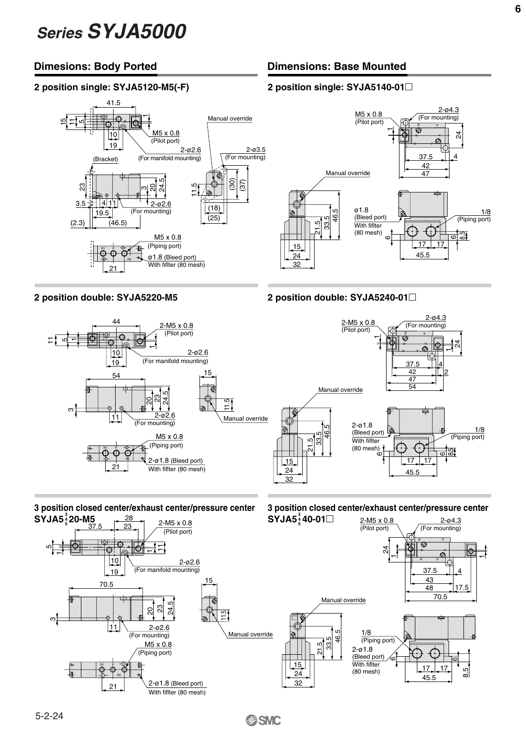#### **Dimesions: Body Ported**

#### **2 position single: SYJA5120-M5(-F)**



## **Dimensions: Base Mounted**

#### **2 position single: SYJA5140-01**-



#### **2 position double: SYJA5220-M5 2 position double: SYJA5240-01**-



#### **3 position closed center/exhaust center/pressure center SYJA5** $^{\frac{3}{4}}$ **20-M5** 28



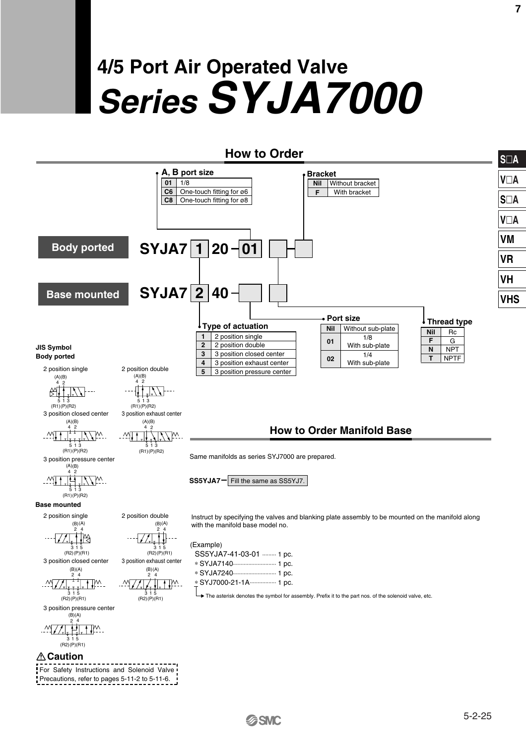# **4/5 Port Air Operated Valve Series SYJA7000**



Precautions, refer to pages 5-11-2 to 5-11-6.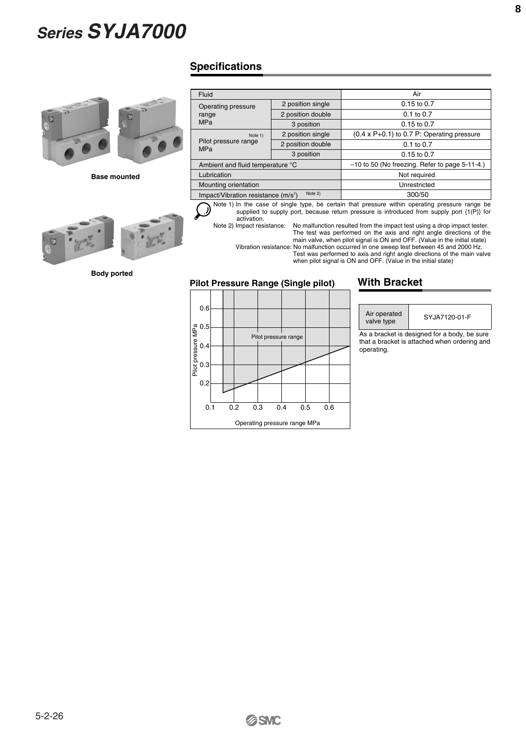

**Base mounted**



**Body ported**

### **Specifications**

| Fluid                                |                   | Air                                                 |  |  |  |  |
|--------------------------------------|-------------------|-----------------------------------------------------|--|--|--|--|
| Operating pressure                   | 2 position single | $0.15$ to $0.7$                                     |  |  |  |  |
| range                                | 2 position double | $0.1$ to $0.7$                                      |  |  |  |  |
| <b>MPa</b>                           | 3 position        | 0.15 to 0.7                                         |  |  |  |  |
| Note 1)                              | 2 position single | $(0.4 \times P + 0.1)$ to 0.7 P: Operating pressure |  |  |  |  |
| Pilot pressure range<br><b>MPa</b>   | 2 position double | 0.1 to 0.7                                          |  |  |  |  |
|                                      | 3 position        | $0.15$ to $0.7$                                     |  |  |  |  |
| Ambient and fluid temperature °C     |                   | $-10$ to 50 (No freezing. Refer to page 5-11-4.)    |  |  |  |  |
| Lubrication                          |                   | Not required                                        |  |  |  |  |
| Mounting orientation                 |                   | Unrestricted                                        |  |  |  |  |
| Impact/Vibration resistance $(m/s2)$ | Note 2)           | 300/50                                              |  |  |  |  |

Note 1) In the case of single type, be certain that pressure within operating pressure range be  $\bigcirc$ supplied to supply port, because return pressure is introduced from supply port {1(P)} for activation.

Note 2) Impact resistance: No malfunction resulted from the impact test using a drop impact tester.

The test was performed on the axis and right angle directions of the main valve, when pilot signal is ON and OFF. (Value in the initial state) Vibration resistance: No malfunction occurred in one sweep test between 45 and 2000 Hz.

Test was performed to axis and right angle directions of the main valve when pilot signal is ON and OFF. (Value in the initial state)

#### **Pilot Pressure Range (Single pilot)**

### 0.6 0.5 0.4 0.3  $0.1$ 0.2 0.2 0.3 0.4 0.5 0.6 Pilot pressure range Operating pressure range MPa Pilot pressure MPa

#### **With Bracket**

Air operated valve type

SYJA7120-01-F

As a bracket is designed for a body, be sure that a bracket is attached when ordering and operating.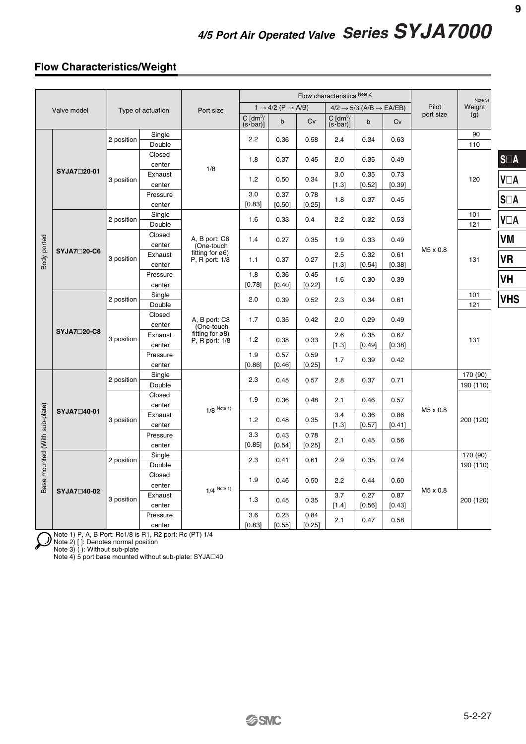#### **Flow Characteristics/Weight**

|                               |                    |                   |                    |                                                                               |                                         |                                           | Flow characteristics Note 2) |                                             | Note 3)                                         |                |           |                       |                               |
|-------------------------------|--------------------|-------------------|--------------------|-------------------------------------------------------------------------------|-----------------------------------------|-------------------------------------------|------------------------------|---------------------------------------------|-------------------------------------------------|----------------|-----------|-----------------------|-------------------------------|
|                               | Valve model        | Type of actuation |                    | Port size                                                                     |                                         | $1 \rightarrow 4/2$ (P $\rightarrow$ A/B) |                              |                                             | $4/2 \rightarrow 5/3$ (A/B $\rightarrow$ EA/EB) |                | Pilot     | Weight                |                               |
|                               |                    |                   |                    |                                                                               | $C \text{ [dm}^3$<br>$(s$ <b>bar</b> )] | $\mathbf b$                               | Cv                           | $C$ [dm <sup>3</sup> /<br>$(s$ <b>bar</b> ) | $\mathsf{b}$                                    | Cv             | port size | (g)                   |                               |
|                               |                    | 2 position        | Single<br>Double   |                                                                               | 2.2                                     | 0.36                                      | 0.58                         | 2.4                                         | 0.34                                            | 0.63           |           | 90<br>110             |                               |
| Body ported                   | SYJA7□20-01        |                   | Closed<br>center   |                                                                               | 1.8                                     | 0.37                                      | 0.45                         | 2.0                                         | 0.35                                            | 0.49           |           |                       | $\mathbb{S}\square\mathbb{A}$ |
|                               |                    | 3 position        | Exhaust<br>center  | 1/8                                                                           | 1.2                                     | 0.50                                      | 0.34                         | $3.0\,$<br>$[1.3]$                          | 0.35<br>[0.52]                                  | 0.73<br>[0.39] |           | 120                   | <b>V</b> <sub>D</sub> A       |
|                               |                    |                   | Pressure<br>center |                                                                               | 3.0<br>[0.83]                           | 0.37<br>[0.50]                            | 0.78<br>[0.25]               | 1.8                                         | 0.37                                            | 0.45           |           |                       | $S\square A$                  |
|                               |                    | 2 position        | Single<br>Double   |                                                                               | 1.6                                     | 0.33                                      | 0.4                          | 2.2                                         | 0.32                                            | 0.53           |           | 101<br>121            | <b>V</b> <sub>D</sub> A       |
|                               | SYJA7□20-C6        | 3 position        | Closed<br>center   | A, B port: C6<br>(One-touch                                                   | 1.4                                     | 0.27                                      | 0.35                         | 1.9                                         | 0.33                                            | 0.49           | M5 x 0.8  |                       | VM                            |
|                               |                    |                   | Exhaust<br>center  | fitting for $\varnothing 6$ )<br>$P, R$ port: $1/8$                           | 1.1                                     | 0.37                                      | 0.27                         | 2.5<br>$[1.3]$                              | 0.32<br>[0.54]                                  | 0.61<br>[0.38] |           | 131                   | VR                            |
|                               |                    |                   | Pressure<br>center |                                                                               | 1.8<br>[0.78]                           | 0.36<br>[0.40]                            | 0.45<br>[0.22]               | 1.6                                         | 0.30                                            | 0.39           |           |                       | VH                            |
|                               | <b>SYJA7□20-C8</b> | 2 position        | Single<br>Double   | A, B port: C8<br>(One-touch<br>fitting for $\varnothing$ 8)<br>P. R port: 1/8 | 2.0                                     | 0.39                                      | 0.52                         | 2.3                                         | 0.34                                            | 0.61           |           | 101<br>121            | <b>VHS</b>                    |
|                               |                    | 3 position        | Closed<br>center   |                                                                               | 1.7                                     | 0.35                                      | 0.42                         | 2.0                                         | 0.29                                            | 0.49           |           |                       |                               |
|                               |                    |                   | Exhaust<br>center  |                                                                               | 1.2                                     | 0.38                                      | 0.33                         | 2.6<br>$[1.3]$                              | 0.35<br>[0.49]                                  | 0.67<br>[0.38] |           | 131                   |                               |
|                               |                    |                   | Pressure<br>center |                                                                               | 1.9<br>[0.86]                           | 0.57<br>[0.46]                            | 0.59<br>[0.25]               | 1.7                                         | 0.39                                            | 0.42           |           |                       |                               |
|                               |                    | 2 position        | Single<br>Double   | $1/8$ Note 1)                                                                 | 2.3                                     | 0.45                                      | 0.57                         | 2.8                                         | 0.37                                            | 0.71           |           | 170 (90)<br>190 (110) |                               |
|                               | SYJA7□40-01        | 3 position        | Closed<br>center   |                                                                               | 1.9                                     | 0.36                                      | 0.48                         | 2.1                                         | 0.46                                            | 0.57           | M5 x 0.8  |                       |                               |
|                               |                    |                   | Exhaust<br>center  |                                                                               | 1.2                                     | 0.48                                      | 0.35                         | 3.4<br>$[1.3]$                              | 0.36<br>[0.57]                                  | 0.86<br>[0.41] |           | 200 (120)             |                               |
|                               |                    |                   | Pressure<br>center |                                                                               | 3.3<br>[0.85]                           | 0.43<br>[0.54]                            | 0.78<br>[0.25]               | 2.1                                         | 0.45                                            | 0.56           |           |                       |                               |
| Base mounted (With sub-plate) |                    | 2 position        | Single<br>Double   |                                                                               | 2.3                                     | 0.41                                      | 0.61                         | 2.9                                         | 0.35                                            | 0.74           |           | 170 (90)<br>190 (110) |                               |
|                               | SYJA7□40-02        |                   | Closed<br>center   | $1/4$ Note 1)                                                                 | 1.9                                     | 0.46                                      | 0.50                         | 2.2                                         | 0.44                                            | 0.60           | M5 x 0.8  |                       |                               |
|                               |                    | 3 position        | Exhaust<br>center  |                                                                               | 1.3                                     | 0.45                                      | 0.35                         | 3.7<br>$[1.4]$                              | 0.27<br>[0.56]                                  | 0.87<br>[0.43] |           | 200 (120)             |                               |
|                               |                    |                   | Pressure<br>center |                                                                               | 3.6<br>[0.83]                           | 0.23<br>[0.55]                            | 0.84<br>[0.25]               | 2.1                                         | 0.47                                            | 0.58           |           |                       |                               |

Note 1) P, A, B Port: Rc1/8 is R1, R2 port: Rc (PT) 1/4

Note 2) [ ]: Denotes normal position

Note 3) ( ): Without sub-plate Note 4) 5 port base mounted without sub-plate: SYJA $\square$ 40